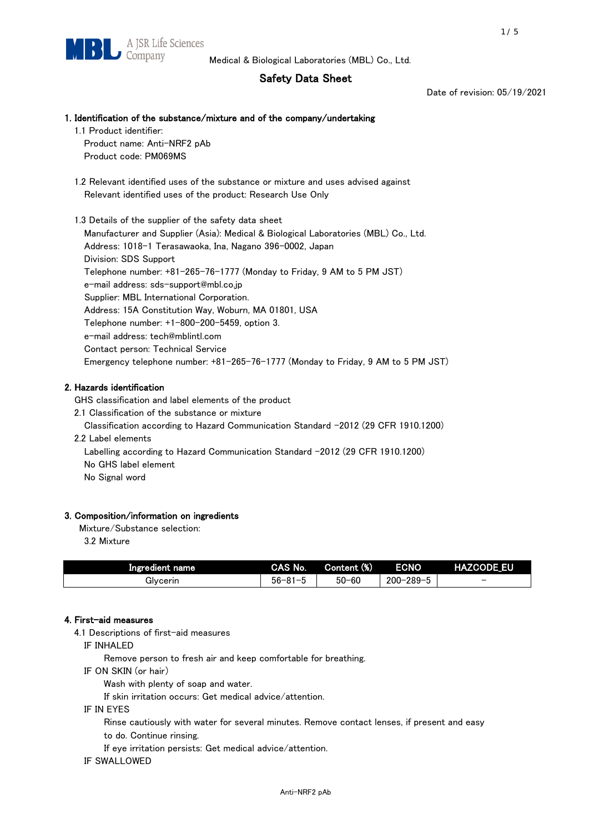# Safety Data Sheet

Date of revision: 05/19/2021

## 1. Identification of the substance/mixture and of the company/undertaking

1.1 Product identifier:

Product name: Anti-NRF2 pAb Product code: PM069MS

 1.2 Relevant identified uses of the substance or mixture and uses advised against Relevant identified uses of the product: Research Use Only

 1.3 Details of the supplier of the safety data sheet Manufacturer and Supplier (Asia): Medical & Biological Laboratories (MBL) Co., Ltd. Address: 1018-1 Terasawaoka, Ina, Nagano 396-0002, Japan Division: SDS Support Telephone number: +81-265-76-1777 (Monday to Friday, 9 AM to 5 PM JST) e-mail address: sds-support@mbl.co.jp Supplier: MBL International Corporation. Address: 15A Constitution Way, Woburn, MA 01801, USA Telephone number: +1-800-200-5459, option 3. e-mail address: tech@mblintl.com Contact person: Technical Service Emergency telephone number: +81-265-76-1777 (Monday to Friday, 9 AM to 5 PM JST)

## 2. Hazards identification

GHS classification and label elements of the product

2.1 Classification of the substance or mixture

Classification according to Hazard Communication Standard -2012 (29 CFR 1910.1200)

2.2 Label elements

Labelling according to Hazard Communication Standard -2012 (29 CFR 1910.1200) No GHS label element

No Signal word

## 3. Composition/information on ingredients

Mixture/Substance selection:

3.2 Mixture

| Ingredient name | CAS No.          | Content (%) | <b>ECNO</b>                                         | <b>HAZCODE EU</b>        |
|-----------------|------------------|-------------|-----------------------------------------------------|--------------------------|
| Givcerin        | $56 - 81 -$<br>. | $50 - 60$   | $-289 - 5$<br>$\overline{\phantom{0}}$<br>$200 - 2$ | $\overline{\phantom{0}}$ |

## 4. First-aid measures

4.1 Descriptions of first-aid measures

IF INHALED

Remove person to fresh air and keep comfortable for breathing.

IF ON SKIN (or hair)

Wash with plenty of soap and water.

If skin irritation occurs: Get medical advice/attention.

IF IN EYES

Rinse cautiously with water for several minutes. Remove contact lenses, if present and easy

to do. Continue rinsing.

If eye irritation persists: Get medical advice/attention.

IF SWALLOWED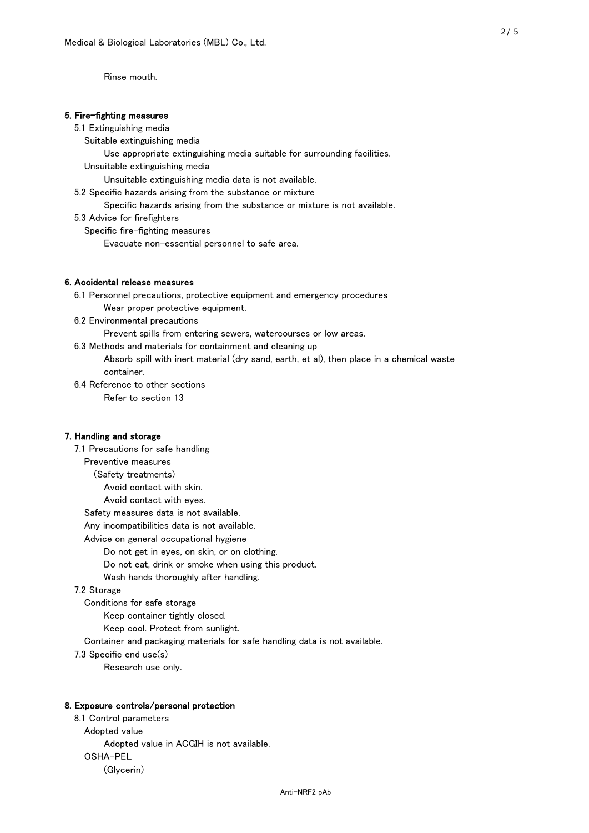Rinse mouth.

## 5. Fire-fighting measures

## 5.1 Extinguishing media

Suitable extinguishing media

Use appropriate extinguishing media suitable for surrounding facilities.

Unsuitable extinguishing media

Unsuitable extinguishing media data is not available.

5.2 Specific hazards arising from the substance or mixture

Specific hazards arising from the substance or mixture is not available.

5.3 Advice for firefighters

Specific fire-fighting measures

Evacuate non-essential personnel to safe area.

## 6. Accidental release measures

 6.1 Personnel precautions, protective equipment and emergency procedures Wear proper protective equipment.

6.2 Environmental precautions

Prevent spills from entering sewers, watercourses or low areas.

6.3 Methods and materials for containment and cleaning up

 Absorb spill with inert material (dry sand, earth, et al), then place in a chemical waste container.

6.4 Reference to other sections

Refer to section 13

## 7. Handling and storage

 7.1 Precautions for safe handling Preventive measures (Safety treatments) Avoid contact with skin. Avoid contact with eyes. Safety measures data is not available. Any incompatibilities data is not available. Advice on general occupational hygiene Do not get in eyes, on skin, or on clothing. Do not eat, drink or smoke when using this product. Wash hands thoroughly after handling. 7.2 Storage Conditions for safe storage Keep container tightly closed.

Keep cool. Protect from sunlight.

Container and packaging materials for safe handling data is not available.

7.3 Specific end use(s)

Research use only.

#### 8. Exposure controls/personal protection

 8.1 Control parameters Adopted value Adopted value in ACGIH is not available. OSHA-PEL (Glycerin)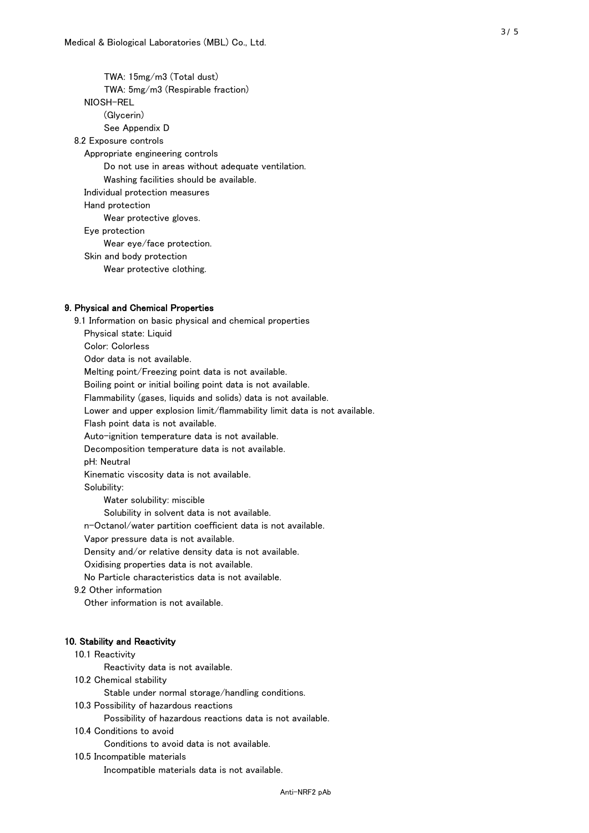TWA: 15mg/m3 (Total dust) TWA: 5mg/m3 (Respirable fraction) NIOSH-REL (Glycerin) See Appendix D 8.2 Exposure controls Appropriate engineering controls Do not use in areas without adequate ventilation. Washing facilities should be available. Individual protection measures Hand protection Wear protective gloves. Eye protection Wear eye/face protection. Skin and body protection Wear protective clothing.

## 9. Physical and Chemical Properties

 9.1 Information on basic physical and chemical properties Physical state: Liquid Color: Colorless Odor data is not available. Melting point/Freezing point data is not available. Boiling point or initial boiling point data is not available. Flammability (gases, liquids and solids) data is not available. Lower and upper explosion limit/flammability limit data is not available. Flash point data is not available. Auto-ignition temperature data is not available. Decomposition temperature data is not available. pH: Neutral Kinematic viscosity data is not available. Solubility: Water solubility: miscible Solubility in solvent data is not available. n-Octanol/water partition coefficient data is not available. Vapor pressure data is not available. Density and/or relative density data is not available. Oxidising properties data is not available. No Particle characteristics data is not available. 9.2 Other information Other information is not available. 10. Stability and Reactivity 10.1 Reactivity Reactivity data is not available. 10.2 Chemical stability Stable under normal storage/handling conditions. 10.3 Possibility of hazardous reactions

Possibility of hazardous reactions data is not available.

## 10.4 Conditions to avoid

Conditions to avoid data is not available.

#### 10.5 Incompatible materials

Incompatible materials data is not available.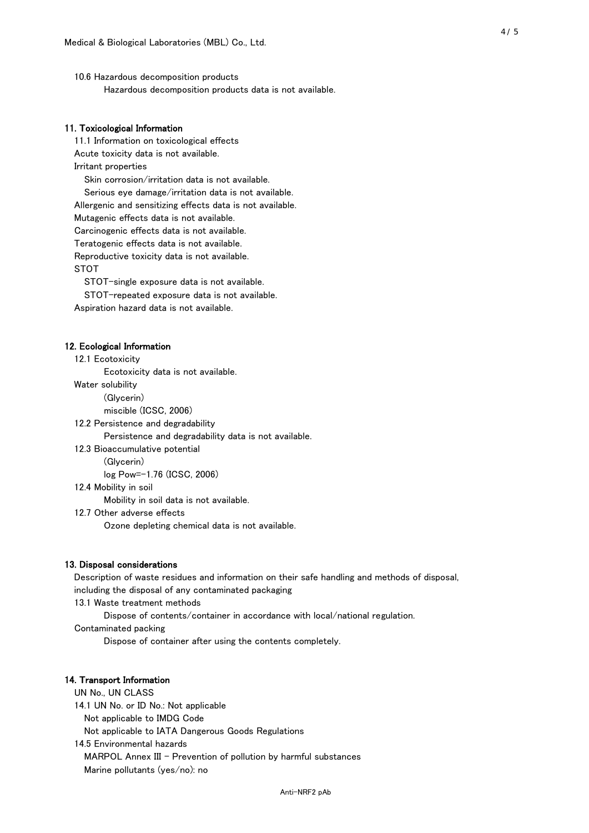10.6 Hazardous decomposition products Hazardous decomposition products data is not available.

## 11. Toxicological Information

 11.1 Information on toxicological effects Acute toxicity data is not available. Irritant properties Skin corrosion/irritation data is not available. Serious eye damage/irritation data is not available. Allergenic and sensitizing effects data is not available. Mutagenic effects data is not available. Carcinogenic effects data is not available. Teratogenic effects data is not available. Reproductive toxicity data is not available. STOT

STOT-single exposure data is not available.

STOT-repeated exposure data is not available.

Aspiration hazard data is not available.

#### 12. Ecological Information

12.1 Ecotoxicity

Ecotoxicity data is not available.

Water solubility

(Glycerin)

miscible (ICSC, 2006)

12.2 Persistence and degradability

Persistence and degradability data is not available.

12.3 Bioaccumulative potential

(Glycerin)

log Pow=-1.76 (ICSC, 2006)

12.4 Mobility in soil

Mobility in soil data is not available.

12.7 Other adverse effects

Ozone depleting chemical data is not available.

#### 13. Disposal considerations

 Description of waste residues and information on their safe handling and methods of disposal, including the disposal of any contaminated packaging

13.1 Waste treatment methods

Dispose of contents/container in accordance with local/national regulation.

Contaminated packing

Dispose of container after using the contents completely.

## 14. Transport Information

 UN No., UN CLASS 14.1 UN No. or ID No.: Not applicable Not applicable to IMDG Code Not applicable to IATA Dangerous Goods Regulations

 14.5 Environmental hazards MARPOL Annex III - Prevention of pollution by harmful substances Marine pollutants (yes/no): no